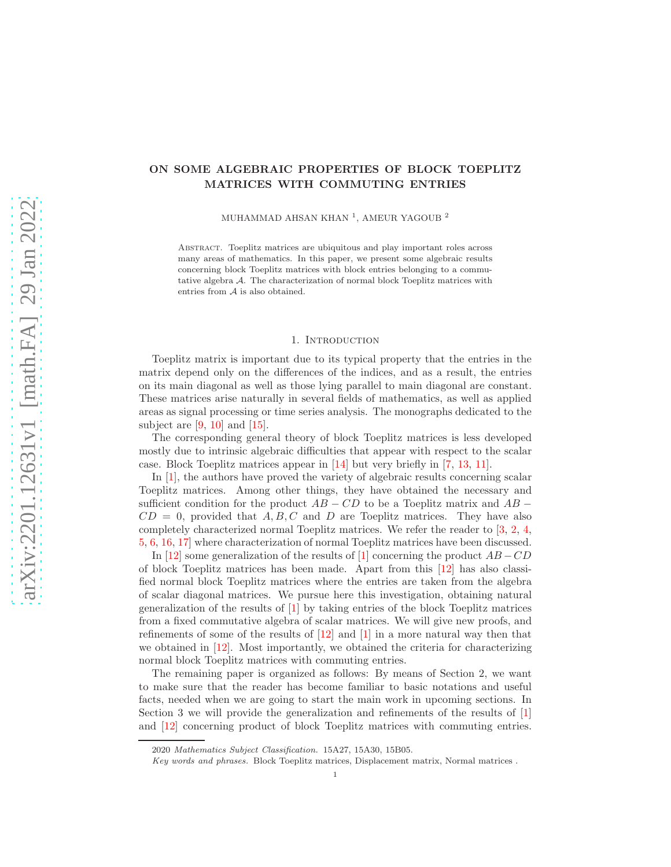# ON SOME ALGEBRAIC PROPERTIES OF BLOCK TOEPLITZ MATRICES WITH COMMUTING ENTRIES

MUHAMMAD AHSAN KHAN $^1,$  AMEUR YAGOUB  $^2$ 

Abstract. Toeplitz matrices are ubiquitous and play important roles across many areas of mathematics. In this paper, we present some algebraic results concerning block Toeplitz matrices with block entries belonging to a commutative algebra A. The characterization of normal block Toeplitz matrices with entries from A is also obtained.

#### 1. INTRODUCTION

Toeplitz matrix is important due to its typical property that the entries in the matrix depend only on the differences of the indices, and as a result, the entries on its main diagonal as well as those lying parallel to main diagonal are constant. These matrices arise naturally in several fields of mathematics, as well as applied areas as signal processing or time series analysis. The monographs dedicated to the subject are  $[9, 10]$  $[9, 10]$  and  $[15]$ .

The corresponding general theory of block Toeplitz matrices is less developed mostly due to intrinsic algebraic difficulties that appear with respect to the scalar case. Block Toeplitz matrices appear in [\[14\]](#page-10-3) but very briefly in [\[7,](#page-10-4) [13,](#page-10-5) [11\]](#page-10-6).

In [\[1\]](#page-9-0), the authors have proved the variety of algebraic results concerning scalar Toeplitz matrices. Among other things, they have obtained the necessary and sufficient condition for the product  $AB - CD$  to be a Toeplitz matrix and  $AB CD = 0$ , provided that A, B, C and D are Toeplitz matrices. They have also completely characterized normal Toeplitz matrices. We refer the reader to [\[3,](#page-9-1) [2,](#page-9-2) [4,](#page-9-3) [5,](#page-9-4) [6,](#page-9-5) [16,](#page-10-7) [17\]](#page-10-8) where characterization of normal Toeplitz matrices have been discussed.

In [\[12\]](#page-10-9) some generalization of the results of [\[1\]](#page-9-0) concerning the product  $AB - CD$ of block Toeplitz matrices has been made. Apart from this [\[12\]](#page-10-9) has also classified normal block Toeplitz matrices where the entries are taken from the algebra of scalar diagonal matrices. We pursue here this investigation, obtaining natural generalization of the results of [\[1\]](#page-9-0) by taking entries of the block Toeplitz matrices from a fixed commutative algebra of scalar matrices. We will give new proofs, and refinements of some of the results of [\[12\]](#page-10-9) and [\[1\]](#page-9-0) in a more natural way then that we obtained in [\[12\]](#page-10-9). Most importantly, we obtained the criteria for characterizing normal block Toeplitz matrices with commuting entries.

The remaining paper is organized as follows: By means of Section 2, we want to make sure that the reader has become familiar to basic notations and useful facts, needed when we are going to start the main work in upcoming sections. In Section 3 we will provide the generalization and refinements of the results of [\[1\]](#page-9-0) and [\[12\]](#page-10-9) concerning product of block Toeplitz matrices with commuting entries.

<sup>2020</sup> Mathematics Subject Classification. 15A27, 15A30, 15B05.

Key words and phrases. Block Toeplitz matrices, Displacement matrix, Normal matrices .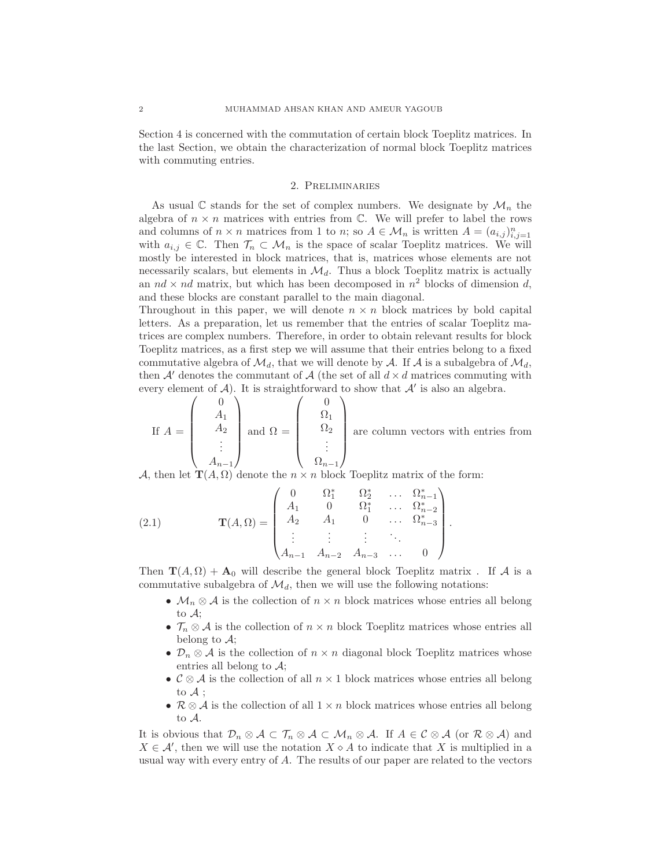Section 4 is concerned with the commutation of certain block Toeplitz matrices. In the last Section, we obtain the characterization of normal block Toeplitz matrices with commuting entries.

## 2. Preliminaries

As usual  $\mathbb C$  stands for the set of complex numbers. We designate by  $\mathcal M_n$  the algebra of  $n \times n$  matrices with entries from  $\mathbb{C}$ . We will prefer to label the rows and columns of  $n \times n$  matrices from 1 to n; so  $A \in \mathcal{M}_n$  is written  $A = (a_{i,j})_{i,j=1}^n$ with  $a_{i,j} \in \mathbb{C}$ . Then  $\mathcal{T}_n \subset \mathcal{M}_n$  is the space of scalar Toeplitz matrices. We will mostly be interested in block matrices, that is, matrices whose elements are not necessarily scalars, but elements in  $\mathcal{M}_d$ . Thus a block Toeplitz matrix is actually an  $nd \times nd$  matrix, but which has been decomposed in  $n^2$  blocks of dimension d, and these blocks are constant parallel to the main diagonal.

Throughout in this paper, we will denote  $n \times n$  block matrices by bold capital letters. As a preparation, let us remember that the entries of scalar Toeplitz matrices are complex numbers. Therefore, in order to obtain relevant results for block Toeplitz matrices, as a first step we will assume that their entries belong to a fixed commutative algebra of  $\mathcal{M}_d$ , that we will denote by A. If A is a subalgebra of  $\mathcal{M}_d$ , then A' denotes the commutant of A (the set of all  $d \times d$  matrices commuting with every element of  $A$ ). It is straightforward to show that  $A'$  is also an algebra.  $\sqrt{2}$  $\sqrt{2}$ 

If 
$$
A = \begin{pmatrix} 0 \\ A_1 \\ A_2 \\ \vdots \\ A_{n-1} \end{pmatrix}
$$
 and  $\Omega = \begin{pmatrix} 0 \\ \Omega_1 \\ \Omega_2 \\ \vdots \\ \Omega_{n-1} \end{pmatrix}$  are column vectors with entries from

A, then let  $\mathbf{T}(A, \Omega)$  denote the  $n \times n$  block Toeplitz matrix of the form:

(2.1) 
$$
\mathbf{T}(A,\Omega) = \begin{pmatrix} 0 & \Omega_1^* & \Omega_2^* & \dots & \Omega_{n-1}^* \\ A_1 & 0 & \Omega_1^* & \dots & \Omega_{n-2}^* \\ A_2 & A_1 & 0 & \dots & \Omega_{n-3}^* \\ \vdots & \vdots & \vdots & \ddots & \vdots \\ A_{n-1} & A_{n-2} & A_{n-3} & \dots & 0 \end{pmatrix}.
$$

Then  $\mathbf{T}(A,\Omega) + \mathbf{A}_0$  will describe the general block Toeplitz matrix. If A is a commutative subalgebra of  $\mathcal{M}_d$ , then we will use the following notations:

- $\mathcal{M}_n \otimes \mathcal{A}$  is the collection of  $n \times n$  block matrices whose entries all belong to A;
- $\mathcal{T}_n \otimes \mathcal{A}$  is the collection of  $n \times n$  block Toeplitz matrices whose entries all belong to  $\mathcal{A}$ ;
- $\mathcal{D}_n \otimes \mathcal{A}$  is the collection of  $n \times n$  diagonal block Toeplitz matrices whose entries all belong to  $\mathcal{A}$ ;
- $\mathcal{C} \otimes \mathcal{A}$  is the collection of all  $n \times 1$  block matrices whose entries all belong to  $A$  ;
- $\mathcal{R} \otimes \mathcal{A}$  is the collection of all  $1 \times n$  block matrices whose entries all belong to A.

It is obvious that  $\mathcal{D}_n \otimes \mathcal{A} \subset \mathcal{T}_n \otimes \mathcal{A} \subset \mathcal{M}_n \otimes \mathcal{A}$ . If  $A \in \mathcal{C} \otimes \mathcal{A}$  (or  $\mathcal{R} \otimes \mathcal{A}$ ) and  $X \in \mathcal{A}'$ , then we will use the notation  $X \diamond A$  to indicate that X is multiplied in a usual way with every entry of A. The results of our paper are related to the vectors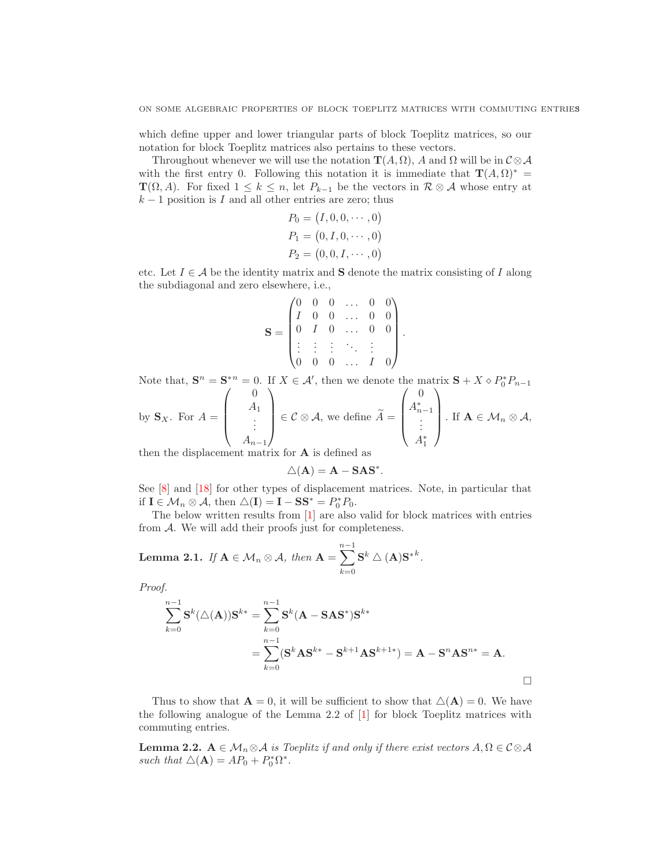which define upper and lower triangular parts of block Toeplitz matrices, so our notation for block Toeplitz matrices also pertains to these vectors.

Throughout whenever we will use the notation  $\mathbf{T}(A, \Omega)$ , A and  $\Omega$  will be in  $\mathcal{C} \otimes \mathcal{A}$ with the first entry 0. Following this notation it is immediate that  $\mathbf{T}(A,\Omega)^* =$  $\mathbf{T}(\Omega, A)$ . For fixed  $1 \leq k \leq n$ , let  $P_{k-1}$  be the vectors in  $\mathcal{R} \otimes A$  whose entry at  $k-1$  position is I and all other entries are zero; thus

$$
P_0 = (I, 0, 0, \dots, 0)
$$
  
\n
$$
P_1 = (0, I, 0, \dots, 0)
$$
  
\n
$$
P_2 = (0, 0, I, \dots, 0)
$$

etc. Let  $I \in \mathcal{A}$  be the identity matrix and **S** denote the matrix consisting of I along the subdiagonal and zero elsewhere, i.e.,

$$
\mathbf{S} = \begin{pmatrix} 0 & 0 & 0 & \dots & 0 & 0 \\ I & 0 & 0 & \dots & 0 & 0 \\ 0 & I & 0 & \dots & 0 & 0 \\ \vdots & \vdots & \vdots & \ddots & \vdots & \vdots \\ 0 & 0 & 0 & \dots & I & 0 \end{pmatrix}
$$

.

Note that,  $\mathbf{S}^n = \mathbf{S}^{*n} = 0$ . If  $X \in \mathcal{A}'$ , then we denote the matrix  $\mathbf{S} + X \diamond P_0^* P_{n-1}$ 

by 
$$
S_X
$$
. For  $A = \begin{pmatrix} A_1 \\ A_2 \\ \vdots \\ A_{n-1} \end{pmatrix} \in \mathcal{C} \otimes \mathcal{A}$ , we define  $\widetilde{A} = \begin{pmatrix} A_{n-1}^* \\ \vdots \\ A_1^* \end{pmatrix}$ . If  $\mathbf{A} \in \mathcal{M}_n \otimes \mathcal{A}$ ,

then the displacement matrix for A is defined as

$$
\triangle(\mathbf{A}) = \mathbf{A} - \mathbf{S} \mathbf{A} \mathbf{S}^*.
$$

See [\[8\]](#page-10-10) and [\[18\]](#page-10-11) for other types of displacement matrices. Note, in particular that if  $\mathbf{I} \in \mathcal{M}_n \otimes \mathcal{A}$ , then  $\triangle(\mathbf{I}) = \mathbf{I} - \mathbf{S} \mathbf{S}^* = P_0^* P_0$ .

The below written results from [\[1\]](#page-9-0) are also valid for block matrices with entries from  $A$ . We will add their proofs just for completeness.

**Lemma 2.1.** If 
$$
A \in M_n \otimes A
$$
, then  $A = \sum_{k=0}^{n-1} S^k \triangle (A) S^{*k}$ .

*Proof.*

$$
\sum_{k=0}^{n-1} \mathbf{S}^{k}(\Delta(\mathbf{A})) \mathbf{S}^{k*} = \sum_{k=0}^{n-1} \mathbf{S}^{k} (\mathbf{A} - \mathbf{S} \mathbf{A} \mathbf{S}^{*}) \mathbf{S}^{k*}
$$
  
= 
$$
\sum_{k=0}^{n-1} (\mathbf{S}^{k} \mathbf{A} \mathbf{S}^{k*} - \mathbf{S}^{k+1} \mathbf{A} \mathbf{S}^{k+1*}) = \mathbf{A} - \mathbf{S}^{n} \mathbf{A} \mathbf{S}^{n*} = \mathbf{A}.
$$

Thus to show that  $\mathbf{A} = 0$ , it will be sufficient to show that  $\Delta(\mathbf{A}) = 0$ . We have the following analogue of the Lemma 2.2 of [\[1\]](#page-9-0) for block Toeplitz matrices with commuting entries.

<span id="page-2-0"></span>**Lemma 2.2.**  $A \in \mathcal{M}_n \otimes \mathcal{A}$  *is Toeplitz if and only if there exist vectors*  $A, \Omega \in \mathcal{C} \otimes \mathcal{A}$ such that  $\triangle(\mathbf{A}) = AP_0 + P_0^* \Omega^*$ .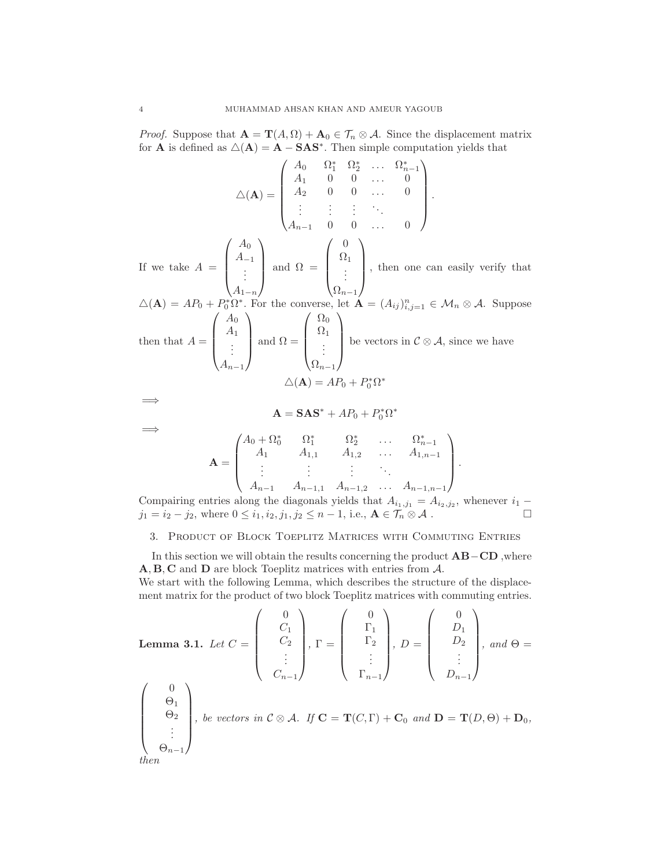*Proof.* Suppose that  $\mathbf{A} = \mathbf{T}(A, \Omega) + \mathbf{A}_0 \in \mathcal{T}_n \otimes \mathcal{A}$ . Since the displacement matrix for **A** is defined as  $\Delta(\mathbf{A}) = \mathbf{A} - \mathbf{S} \mathbf{A} \mathbf{S}^*$ . Then simple computation yields that

$$
\Delta(\mathbf{A}) = \begin{pmatrix} A_0 & \Omega_1^* & \Omega_2^* & \dots & \Omega_{n-1}^* \\ A_1 & 0 & 0 & \dots & 0 \\ A_2 & 0 & 0 & \dots & 0 \\ \vdots & \vdots & \vdots & \ddots & \vdots \\ A_{n-1} & 0 & 0 & \dots & 0 \end{pmatrix}.
$$
  
If we take  $A = \begin{pmatrix} A_0 \\ A_{-1} \\ \vdots \\ A_{1-n} \end{pmatrix}$  and  $\Omega = \begin{pmatrix} 0 \\ \Omega_1 \\ \vdots \\ \Omega_{n-1} \end{pmatrix}$ , then one can easily verify that  

$$
\Delta(\mathbf{A}) = AP_0 + P_0^* \Omega^*.
$$
 For the converse, let  $\mathbf{A} = (A_{ij})_{i,j=1}^n \in \mathcal{M}_n \otimes \mathcal{A}$ . Suppose  
then that  $A = \begin{pmatrix} A_0 \\ A_1 \\ \vdots \\ A_{n-1} \end{pmatrix}$  and  $\Omega = \begin{pmatrix} \Omega_0 \\ \Omega_1 \\ \vdots \\ \Omega_{n-1} \end{pmatrix}$  be vectors in  $C \otimes \mathcal{A}$ , since we have  

$$
\Delta(\mathbf{A}) = AP_0 + P_0^* \Omega^*
$$

$$
\implies
$$

$$
\mathbf{A} = \mathbf{S}\mathbf{A}\mathbf{S}^* + AP_0 + P_0^* \Omega^*
$$

=⇒

$$
\mathbf{A} = \mathbf{S}\mathbf{A}\mathbf{S}^* + AP_0 + P_0^* \Omega^*
$$

 $\sqrt{2}$ 

 $\overline{\phantom{a}}$ .

$$
\mathbf{A} = \begin{pmatrix} A_0 + \Omega_0^* & \Omega_1^* & \Omega_2^* & \dots & \Omega_{n-1}^* \\ A_1 & A_{1,1} & A_{1,2} & \dots & A_{1,n-1} \\ \vdots & \vdots & \vdots & \ddots & \vdots \\ A_{n-1} & A_{n-1,1} & A_{n-1,2} & \dots & A_{n-1,n-1} \end{pmatrix}
$$

Compairing entries along the diagonals yields that  $A_{i_1,j_1} = A_{i_2,j_2}$ , whenever  $i_1$  –  $j_1 = i_2 - j_2$ , where  $0 \le i_1, i_2, j_1, j_2 \le n - 1$ , i.e.,  $\mathbf{A} \in \widehat{\mathcal{T}_n \otimes \mathcal{A}}$ .

# 3. Product of Block Toeplitz Matrices with Commuting Entries

In this section we will obtain the results concerning the product AB−CD ,where A, B, C and D are block Toeplitz matrices with entries from A.

We start with the following Lemma, which describes the structure of the displacement matrix for the product of two block Toeplitz matrices with commuting entries.

**Lemma 3.1.** Let 
$$
C = \begin{pmatrix} 0 \\ C_1 \\ C_2 \\ \vdots \\ C_{n-1} \end{pmatrix}
$$
,  $\Gamma = \begin{pmatrix} 0 \\ \Gamma_1 \\ \Gamma_2 \\ \vdots \\ \Gamma_{n-1} \end{pmatrix}$ ,  $D = \begin{pmatrix} 0 \\ D_1 \\ D_2 \\ \vdots \\ D_{n-1} \end{pmatrix}$ , and  $\Theta = \begin{pmatrix} 0 \\ D_1 \\ \vdots \\ D_{n-1} \end{pmatrix}$ , and  $\Theta = \begin{pmatrix} 0 \\ 0 \\ \vdots \\ 0 \end{pmatrix}$ , and  $\Theta = \begin{pmatrix} 0 \\ 0 \\ \vdots \\ 0 \end{pmatrix}$ , be vectors in  $C \otimes A$ . If  $\mathbf{C} = \mathbf{T}(C, \Gamma) + \mathbf{C}_0$  and  $\mathbf{D} = \mathbf{T}(D, \Theta) + \mathbf{D}_0$ , then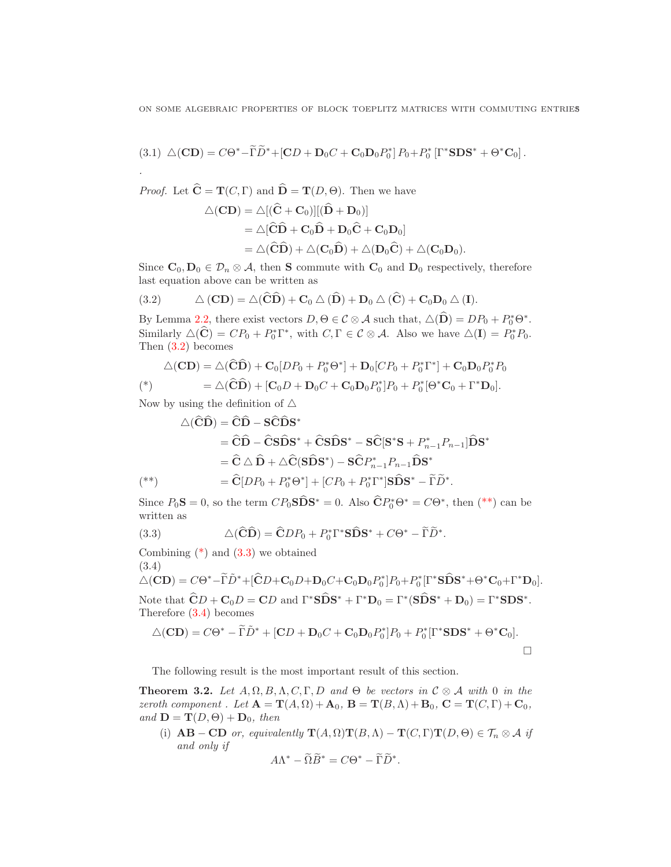ON SOME ALGEBRAIC PROPERTIES OF BLOCK TOEPLITZ MATRICES WITH COMMUTING ENTRIES

$$
(3.1)\ \triangle(C\mathbf{D})=C\Theta^*-\widetilde{\Gamma}\widetilde{D}^*+[{\bf C}D+{\bf D}_0C+{\bf C}_0{\bf D}_0P_0^*]P_0+P_0^*\left[\Gamma^*{\bf SDS}^*+\Theta^*{\bf C}_0\right].
$$

*Proof.* Let  $\hat{\mathbf{C}} = \mathbf{T}(C, \Gamma)$  and  $\hat{\mathbf{D}} = \mathbf{T}(D, \Theta)$ . Then we have

$$
\Delta(CD) = \Delta[(\hat{C} + C_0)][(\hat{D} + D_0)]
$$
  
=  $\Delta[\hat{C}\hat{D} + C_0\hat{D} + D_0\hat{C} + C_0D_0]$   
=  $\Delta(\hat{C}\hat{D}) + \Delta(C_0\hat{D}) + \Delta(D_0\hat{C}) + \Delta(C_0D_0).$ 

Since  $\mathbf{C}_0$ ,  $\mathbf{D}_0 \in \mathcal{D}_n \otimes \mathcal{A}$ , then S commute with  $\mathbf{C}_0$  and  $\mathbf{D}_0$  respectively, therefore last equation above can be written as

<span id="page-4-0"></span>(3.2) 
$$
\Delta (CD) = \Delta (\widehat{CD}) + \mathbf{C}_0 \Delta (\widehat{D}) + \mathbf{D}_0 \Delta (\widehat{C}) + \mathbf{C}_0 \mathbf{D}_0 \Delta (\mathbf{I}).
$$

By Lemma [2.2,](#page-2-0) there exist vectors  $D, \Theta \in \mathcal{C} \otimes \mathcal{A}$  such that,  $\Delta(\widehat{\mathbf{D}}) = DP_0 + P_0^* \Theta^*$ . Similarly  $\Delta(\hat{\mathbf{C}}) = CP_0 + P_0^* \Gamma^*$ , with  $C, \Gamma \in \mathcal{C} \otimes \mathcal{A}$ . Also we have  $\Delta(\mathbf{I}) = P_0^* P_0$ . Then [\(3.2\)](#page-4-0) becomes

<span id="page-4-2"></span>
$$
\triangle(C\mathbf{D}) = \triangle(\widehat{\mathbf{C}}\widehat{\mathbf{D}}) + \mathbf{C}_0[DP_0 + P_0^* \Theta^*] + \mathbf{D}_0[CP_0 + P_0^* \Gamma^*] + \mathbf{C}_0 \mathbf{D}_0 P_0^* P_0
$$
  
\n
$$
= \triangle(\widehat{\mathbf{C}}\widehat{\mathbf{D}}) + [\mathbf{C}_0 D + \mathbf{D}_0 C + \mathbf{C}_0 \mathbf{D}_0 P_0^*] P_0 + P_0^* [\Theta^* \mathbf{C}_0 + \Gamma^* \mathbf{D}_0].
$$

Now by using the definition of  $\triangle$ 

*.*

$$
\triangle(\widehat{CD}) = \widehat{CD} - \widehat{SCDS}^*
$$
\n
$$
= \widehat{CD} - \widehat{CSDS}^* + \widehat{CSDS}^* - \widehat{SC}[S^*S + P_{n-1}^* P_{n-1}]\widehat{DS}^*
$$
\n
$$
= \widehat{C} \triangle \widehat{D} + \triangle \widehat{C}(S\widehat{DS}^*) - \widehat{SC}P_{n-1}^* P_{n-1}\widehat{DS}^*
$$
\n
$$
= \widehat{C}[DP_0 + P_0^* \Theta^*] + [CP_0 + P_0^* \Gamma^*]S\widehat{DS}^* - \widetilde{\Gamma}\widetilde{D}^*.
$$

<span id="page-4-1"></span>Since  $P_0\mathbf{S} = 0$ , so the term  $CP_0\mathbf{S}\widehat{\mathbf{D}}\mathbf{S}^* = 0$ . Also  $\widehat{\mathbf{C}}P_0^*\Theta^* = C\Theta^*$ , then  $(**)$  can be written as

<span id="page-4-3"></span>(3.3) 
$$
\Delta(\widehat{\mathbf{C}}\widehat{\mathbf{D}}) = \widehat{\mathbf{C}}DP_0 + P_0^*\Gamma^*\mathbf{S}\widehat{\mathbf{D}}\mathbf{S}^* + C\Theta^* - \widetilde{\Gamma}\widetilde{D}^*.
$$

Combining  $(*)$  and  $(3.3)$  we obtained

<span id="page-4-4"></span>(3.4)  $\triangle (CD) = C\Theta^* - \widetilde{\Gamma}\widetilde{D}^* + [\widehat{C}D + \mathbf{C}_0D + \mathbf{D}_0C + \mathbf{C}_0\mathbf{D}_0P_0^*]P_0 + P_0^*[\Gamma^*\mathbf{S}\widehat{\mathbf{D}}\mathbf{S}^* + \Theta^*\mathbf{C}_0 + \Gamma^*\mathbf{D}_0].$ Note that  $\hat{\mathbf{C}}D + \mathbf{C}_0 D = \mathbf{C}D$  and  $\Gamma^* \mathbf{S} \hat{\mathbf{D}} \mathbf{S}^* + \Gamma^* \mathbf{D}_0 = \Gamma^* (\mathbf{S} \hat{\mathbf{D}} \mathbf{S}^* + \mathbf{D}_0) = \Gamma^* \mathbf{S} \mathbf{D} \mathbf{S}^*$ . Therefore [\(3.4\)](#page-4-4) becomes

$$
\triangle(C\mathbf{D}) = C\Theta^* - \widetilde{\Gamma}\widetilde{D}^* + [CD + \mathbf{D}_0C + \mathbf{C}_0\mathbf{D}_0P_0^*]P_0 + P_0^*[\Gamma^*\mathbf{SDS}^* + \Theta^*\mathbf{C}_0].
$$

The following result is the most important result of this section.

<span id="page-4-5"></span>**Theorem 3.2.** Let  $A, \Omega, B, \Lambda, C, \Gamma, D$  and  $\Theta$  be vectors in  $C \otimes A$  with 0 in the *zeroth component.* Let  $\mathbf{A} = \mathbf{T}(A, \Omega) + \mathbf{A}_0$ ,  $\mathbf{B} = \mathbf{T}(B, \Lambda) + \mathbf{B}_0$ ,  $\mathbf{C} = \mathbf{T}(C, \Gamma) + \mathbf{C}_0$ ,  $and \mathbf{D} = \mathbf{T}(D, \Theta) + \mathbf{D}_0$ , then

(i)  $AB - CD$  *or, equivalently*  $\mathbf{T}(A, \Omega) \mathbf{T}(B, \Lambda) - \mathbf{T}(C, \Gamma) \mathbf{T}(D, \Theta) \in \mathcal{T}_n \otimes \mathcal{A}$  *if and only if*

$$
A\Lambda^* - \widetilde{\Omega}\widetilde{B}^* = C\Theta^* - \widetilde{\Gamma}\widetilde{D}^*.
$$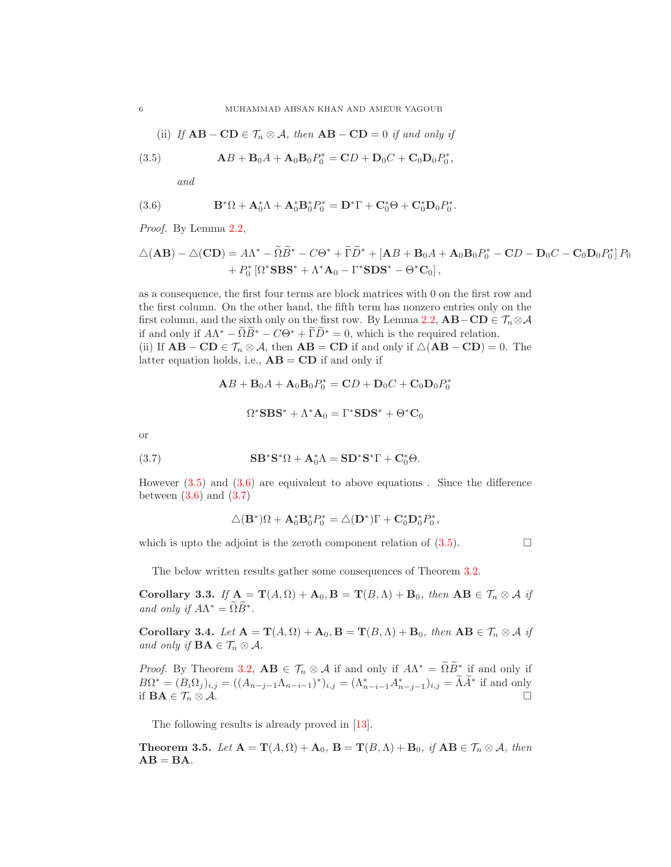(ii) If 
$$
AB - CD \in \mathcal{T}_n \otimes \mathcal{A}
$$
, then  $AB - CD = 0$  if and only if

(3.5) 
$$
AB + B_0A + A_0B_0P_0^* = CD + D_0C + C_0D_0P_0^*,
$$

<span id="page-5-1"></span><span id="page-5-0"></span>*and*

(3.6) 
$$
\mathbf{B}^*\Omega + \mathbf{A}_0^*\Lambda + \mathbf{A}_0^*\mathbf{B}_0^*P_0^* = \mathbf{D}^*\Gamma + \mathbf{C}_0^*\Theta + \mathbf{C}_0^*\mathbf{D}_0P_0^*.
$$

*Proof.* By Lemma [2.2,](#page-2-0)

$$
\Delta(\mathbf{AB}) - \Delta(\mathbf{CD}) = A\Lambda^* - \widetilde{\Omega}\widetilde{B}^* - C\Theta^* + \widetilde{\Gamma}\widetilde{D}^* + [\mathbf{AB} + \mathbf{B}_0A + \mathbf{A}_0\mathbf{B}_0P_0^* - \mathbf{CD} - \mathbf{D}_0C - \mathbf{C}_0\mathbf{D}_0P_0^*]P_0
$$
  
+  $P_0^* [\Omega^* \mathbf{SBS}^* + \Lambda^* \mathbf{A}_0 - \Gamma^* \mathbf{SDS}^* - \Theta^* \mathbf{C}_0],$ 

as a consequence, the first four terms are block matrices with 0 on the first row and the first column. On the other hand, the fifth term has nonzero entries only on the first column, and the sixth only on the first row. By Lemma [2.2,](#page-2-0)  $AB-CD \in \mathcal{T}_n \otimes \mathcal{A}$ if and only if  $A\Lambda^* - \Omega B^* - C\Theta^* + \Gamma D^* = 0$ , which is the required relation. (ii) If  $AB - CD \in \mathcal{T}_n \otimes \mathcal{A}$ , then  $AB = CD$  if and only if  $\Delta(AB - CD) = 0$ . The latter equation holds, i.e.,  $AB = CD$  if and only if

$$
\mathbf{A}B + \mathbf{B}_0A + \mathbf{A}_0\mathbf{B}_0P_0^* = \mathbf{C}D + \mathbf{D}_0C + \mathbf{C}_0\mathbf{D}_0P_0^*
$$

<span id="page-5-2"></span>
$$
\Omega^* {\mathbf{SBS}}^* + \Lambda^* {\mathbf{A}}_0 = \Gamma^* {\mathbf{SDS}}^* + \Theta^* {\mathbf{C}}_0
$$

or

(3.7) 
$$
\mathbf{S} \mathbf{B}^* \mathbf{S}^* \Omega + \mathbf{A}_0^* \Lambda = \mathbf{S} \mathbf{D}^* \mathbf{S}^* \Gamma + \mathbf{C}_0^* \Theta.
$$

However [\(3.5\)](#page-5-0) and [\(3.6\)](#page-5-1) are equivalent to above equations . Since the difference between  $(3.6)$  and  $(3.7)$ 

$$
\triangle(\mathbf{B}^*)\Omega + \mathbf{A}_0^*\mathbf{B}_0^*P_0^* = \triangle(\mathbf{D}^*)\Gamma + \mathbf{C}_0^*\mathbf{D}_0^*P_0^*,
$$

which is upto the adjoint is the zeroth component relation of  $(3.5)$ .

The below written results gather some consequences of Theorem [3.2.](#page-4-5)

<span id="page-5-3"></span>Corollary 3.3. *If*  $A = T(A, \Omega) + A_0$ ,  $B = T(B, \Lambda) + B_0$ , then  $AB \in \mathcal{T}_n \otimes A$  *if and only if*  $A\Lambda^* = \Omega B^*$ .

Corollary 3.4. *Let*  $A = T(A, \Omega) + A_0$ ,  $B = T(B, \Lambda) + B_0$ , then  $AB \in \mathcal{T}_n \otimes A$  if *and only if*  $\mathbf{BA} \in \mathcal{T}_n \otimes \mathcal{A}$ *.* 

*Proof.* By Theorem [3.2,](#page-4-5)  $\mathbf{AB} \in \mathcal{T}_n \otimes \mathcal{A}$  if and only if  $A\Lambda^* = \widetilde{\Omega} \widetilde{B}^*_{\sim}$  if and only if  $B\Omega^* = (B_i \Omega_j)_{i,j} = ((A_{n-j-1} \Lambda_{n-i-1})^*)_{i,j} = (\Lambda_{n-i-1}^* A_{n-j-1}^*)_{i,j} = \tilde{\Lambda} A^*$  if and only if  $\mathbf{BA} \in \mathcal{T}_n \otimes \mathcal{A}$ .

The following results is already proved in [\[13\]](#page-10-5).

<span id="page-5-4"></span>**Theorem 3.5.** Let  $\mathbf{A} = \mathbf{T}(A, \Omega) + \mathbf{A}_0$ ,  $\mathbf{B} = \mathbf{T}(B, \Lambda) + \mathbf{B}_0$ , if  $\mathbf{A}\mathbf{B} \in \mathcal{T}_n \otimes A$ , then  $AB = BA$ .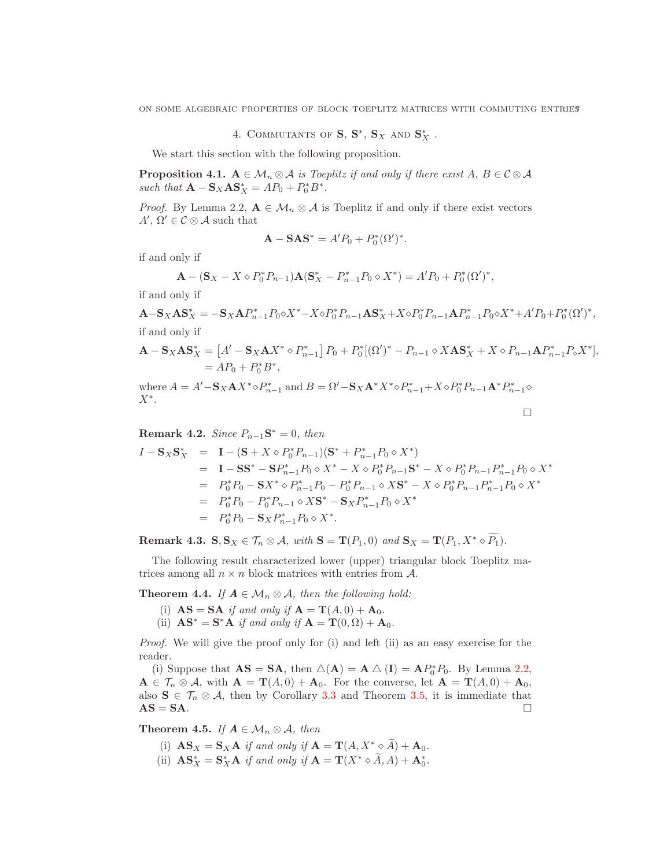ON SOME ALGEBRAIC PROPERTIES OF BLOCK TOEPLITZ MATRICES WITH COMMUTING ENTRIES

4. COMMUTANTS OF  $S, S^*, S_X$  and  $S_X^*$ .

We start this section with the following proposition.

**Proposition 4.1.**  $A \in \mathcal{M}_n \otimes \mathcal{A}$  is Toeplitz if and only if there exist  $A, B \in \mathcal{C} \otimes \mathcal{A}$ such that  $\mathbf{A} - \mathbf{S}_X \mathbf{A} \mathbf{S}_X^* = A P_0 + P_0^* B^*$ .

*Proof.* By Lemma 2.2,  $A \in \mathcal{M}_n \otimes \mathcal{A}$  is Toeplitz if and only if there exist vectors  $A', \Omega' \in \mathcal{C} \otimes \mathcal{A}$  such that

$$
\mathbf{A} - \mathbf{S} \mathbf{A} \mathbf{S}^* = A' P_0 + P_0^* (\Omega')^*.
$$

if and only if

$$
\mathbf{A} - (\mathbf{S}_X - X \diamond P_0^* P_{n-1}) \mathbf{A} (\mathbf{S}_X^* - P_{n-1}^* P_0 \diamond X^*) = A' P_0 + P_0^* (\Omega')^*,
$$

if and only if

 $\mathbf{A}-\mathbf{S}_X\mathbf{A}\mathbf{S}_X^* = -\mathbf{S}_X\mathbf{A}P_{n-1}^*P_0\diamond X^* - X\diamond P_0^*P_{n-1}\mathbf{A}\mathbf{S}_X^* + X\diamond P_0^*P_{n-1}\mathbf{A}P_{n-1}^*P_0\diamond X^* + A'P_0 + P_0^*(\Omega')^*,$ if and only if

$$
\mathbf{A} - \mathbf{S}_X \mathbf{A} \mathbf{S}_X^* = [A' - \mathbf{S}_X \mathbf{A} X^* \diamond P_{n-1}^*] P_0 + P_0^* [(\Omega')^* - P_{n-1} \diamond X \mathbf{A} \mathbf{S}_X^* + X \diamond P_{n-1} \mathbf{A} P_{n-1}^* P_\diamond X^*],
$$
  
= AP\_0 + P\_0^\* B^\*,

where  $A = A' - S_X A X^* \circ P_{n-1}^*$  and  $B = \Omega' - S_X A^* X^* \circ P_{n-1}^* + X \circ P_0^* P_{n-1} A^* P_{n-1}^* \circ P_0^*$  $X^*$ .  $\Box$ 

**Remark 4.2.** *Since*  $P_{n-1}S^* = 0$ *, then* 

$$
I - \mathbf{S}_{X}\mathbf{S}_{X}^{*} = \mathbf{I} - (\mathbf{S} + X \diamond P_{0}^{*}P_{n-1})(\mathbf{S}^{*} + P_{n-1}^{*}P_{0} \diamond X^{*})
$$
  
\n
$$
= \mathbf{I} - \mathbf{S}\mathbf{S}^{*} - \mathbf{S}P_{n-1}^{*}P_{0} \diamond X^{*} - X \diamond P_{0}^{*}P_{n-1}\mathbf{S}^{*} - X \diamond P_{0}^{*}P_{n-1}P_{n-1}^{*}P_{0} \diamond X^{*}
$$
  
\n
$$
= P_{0}^{*}P_{0} - \mathbf{S}X^{*} \diamond P_{n-1}^{*}P_{0} - P_{0}^{*}P_{n-1} \diamond X\mathbf{S}^{*} - X \diamond P_{0}^{*}P_{n-1}P_{n-1}^{*}P_{0} \diamond X^{*}
$$
  
\n
$$
= P_{0}^{*}P_{0} - P_{0}^{*}P_{n-1} \diamond X\mathbf{S}^{*} - \mathbf{S}_{X}P_{n-1}^{*}P_{0} \diamond X^{*}
$$
  
\n
$$
= P_{0}^{*}P_{0} - \mathbf{S}_{X}P_{n-1}^{*}P_{0} \diamond X^{*}.
$$

Remark 4.3.  $S, S_X \in \mathcal{T}_n \otimes \mathcal{A}$ , with  $S = T(P_1, 0)$  and  $S_X = T(P_1, X^* \circ \widetilde{P_1})$ *.* 

The following result characterized lower (upper) triangular block Toeplitz matrices among all  $n \times n$  block matrices with entries from A.

**Theorem 4.4.** *If*  $A \in \mathcal{M}_n \otimes A$ *, then the following hold:* 

- (i)  $\mathbf{AS} = \mathbf{SA}$  *if and only if*  $\mathbf{A} = \mathbf{T}(A, 0) + \mathbf{A}_0$ .
- (ii)  $\mathbf{A}\mathbf{S}^* = \mathbf{S}^*\mathbf{A}$  *if and only if*  $\mathbf{A} = \mathbf{T}(0, \Omega) + \mathbf{A}_0$ *.*

*Proof.* We will give the proof only for (i) and left (ii) as an easy exercise for the reader.

(i) Suppose that  $AS = SA$ , then  $\triangle(A) = A \triangle (I) = AP_0^* P_0$ . By Lemma [2.2,](#page-2-0)  $\mathbf{A} \in \mathcal{T}_n \otimes \mathcal{A}$ , with  $\mathbf{A} = \mathbf{T}(A, 0) + \mathbf{A}_0$ . For the converse, let  $\mathbf{A} = \mathbf{T}(A, 0) + \mathbf{A}_0$ , also  $S \in \mathcal{T}_n \otimes \mathcal{A}$ , then by Corollary [3.3](#page-5-3) and Theorem [3.5,](#page-5-4) it is immediate that  $AS = SA$ .

<span id="page-6-0"></span>**Theorem 4.5.** *If*  $A \in \mathcal{M}_n \otimes A$ , then

- (i)  $\mathbf{AS}_X = \mathbf{S}_X \mathbf{A}$  *if and only if*  $\mathbf{A} = \mathbf{T}(A, X^* \circ \widetilde{A}) + \mathbf{A}_0$ .
- (ii)  $\mathbf{AS}_{X}^{*} = \mathbf{S}_{X}^{*} \mathbf{A}$  *if and only if*  $\mathbf{A} = \mathbf{T}(X^{*} \diamond \tilde{A}, A) + \mathbf{A}_{0}^{*}$ .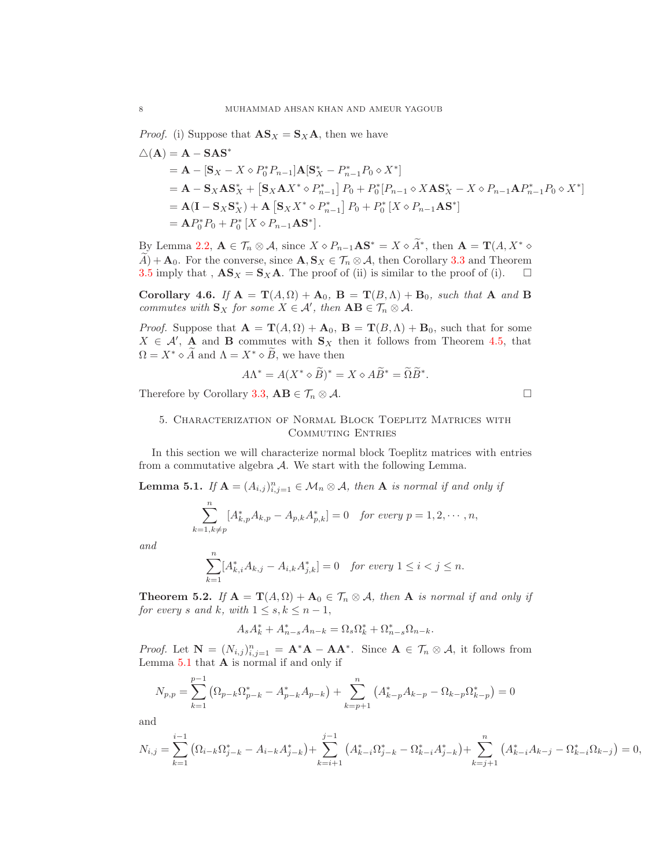*Proof.* (i) Suppose that  $\mathbf{AS}_X = \mathbf{S}_X \mathbf{A}$ , then we have

$$
\Delta(\mathbf{A}) = \mathbf{A} - \mathbf{S} \mathbf{A} \mathbf{S}^*
$$
  
=  $\mathbf{A} - [\mathbf{S}_X - X \diamond P_0^* P_{n-1}] \mathbf{A} [\mathbf{S}_X^* - P_{n-1}^* P_0 \diamond X^*]$   
=  $\mathbf{A} - \mathbf{S}_X \mathbf{A} \mathbf{S}_X^* + [\mathbf{S}_X \mathbf{A} X^* \diamond P_{n-1}^*] P_0 + P_0^* [P_{n-1} \diamond X \mathbf{A} \mathbf{S}_X^* - X \diamond P_{n-1} \mathbf{A} P_{n-1}^* P_0 \diamond X^*]$   
=  $\mathbf{A} (\mathbf{I} - \mathbf{S}_X \mathbf{S}_X^*) + \mathbf{A} [\mathbf{S}_X X^* \diamond P_{n-1}^*] P_0 + P_0^* [X \diamond P_{n-1} \mathbf{A} \mathbf{S}^*]$   
=  $\mathbf{A} P_0^* P_0 + P_0^* [X \diamond P_{n-1} \mathbf{A} \mathbf{S}^*].$ 

By Lemma [2.2,](#page-2-0)  $\mathbf{A} \in \mathcal{T}_n \otimes \mathcal{A}$ , since  $X \diamond P_{n-1} \mathbf{A} \mathbf{S}^* = X \diamond \tilde{A}^*$ , then  $\mathbf{A} = \mathbf{T}(A, X^* \diamond$  $\widetilde{A}$  + **A**<sub>0</sub>. For the converse, since **A**,  $\mathbf{S}_X \in \mathcal{T}_n \otimes A$ , then Corollary [3.3](#page-5-3) and Theorem 3.5 imply that ,  $\mathbf{AS}_X = \mathbf{S}_X \mathbf{A}$ . The proof of (ii) is similar to the proof of (i). [3.5](#page-5-4) imply that ,  $\mathbf{AS}_X = \mathbf{S}_X \mathbf{A}$ . The proof of (ii) is similar to the proof of (i).

Corollary 4.6. *If*  $A = T(A, \Omega) + A_0$ ,  $B = T(B, \Lambda) + B_0$ , such that A and B *commutes with*  $\mathbf{S}_X$  *for some*  $X \in \mathcal{A}'$ *, then*  $\mathbf{AB} \in \mathcal{T}_n \otimes \mathcal{A}$ *.* 

*Proof.* Suppose that  $\mathbf{A} = \mathbf{T}(A, \Omega) + \mathbf{A}_0$ ,  $\mathbf{B} = \mathbf{T}(B, \Lambda) + \mathbf{B}_0$ , such that for some  $X \in \mathcal{A}'$ , **A** and **B** commutes with  $S_X$  then it follows from Theorem [4.5,](#page-6-0) that  $\Omega = X^* \diamond \widetilde{A}$  and  $\Lambda = X^* \diamond \widetilde{B}$ , we have then

$$
A\Lambda^* = A(X^* \diamond \widetilde{B})^* = X \diamond A\widetilde{B}^* = \widetilde{\Omega}\widetilde{B}^*.
$$

Therefore by Corollary [3.3,](#page-5-3)  $AB \in \mathcal{T}_n \otimes \mathcal{A}$ .

# 5. Characterization of Normal Block Toeplitz Matrices with Commuting Entries

In this section we will characterize normal block Toeplitz matrices with entries from a commutative algebra  $A$ . We start with the following Lemma.

<span id="page-7-0"></span>**Lemma 5.1.** *If*  $A = (A_{i,j})_{i,j=1}^n \in M_n \otimes A$ *, then* A *is normal if and only if* 

$$
\sum_{k=1, k \neq p}^{n} [A_{k,p}^{*} A_{k,p} - A_{p,k} A_{p,k}^{*}] = 0 \text{ for every } p = 1, 2, \cdots, n,
$$

*and*

$$
\sum_{k=1}^{n} [A_{k,i}^* A_{k,j} - A_{i,k} A_{j,k}^*] = 0 \quad \text{for every } 1 \le i < j \le n.
$$

<span id="page-7-1"></span>**Theorem 5.2.** *If*  $A = T(A, \Omega) + A_0 \in \mathcal{T}_n \otimes A$ *, then* A *is normal if and only if for every s* and *k*, with  $1 \leq s, k \leq n-1$ ,

$$
A_s A_k^* + A_{n-s}^* A_{n-k} = \Omega_s \Omega_k^* + \Omega_{n-s}^* \Omega_{n-k}.
$$

*Proof.* Let  $N = (N_{i,j})_{i,j=1}^n = \mathbf{A}^* \mathbf{A} - \mathbf{A} \mathbf{A}^*$ . Since  $\mathbf{A} \in \mathcal{T}_n \otimes \mathcal{A}$ , it follows from Lemma  $5.1$  that  $A$  is normal if and only if

$$
N_{p,p} = \sum_{k=1}^{p-1} \left( \Omega_{p-k} \Omega_{p-k}^* - A_{p-k}^* A_{p-k} \right) + \sum_{k=p+1}^n \left( A_{k-p}^* A_{k-p} - \Omega_{k-p} \Omega_{k-p}^* \right) = 0
$$

and

$$
N_{i,j} = \sum_{k=1}^{i-1} \left( \Omega_{i-k} \Omega_{j-k}^* - A_{i-k} A_{j-k}^* \right) + \sum_{k=i+1}^{j-1} \left( A_{k-i}^* \Omega_{j-k}^* - \Omega_{k-i}^* A_{j-k}^* \right) + \sum_{k=j+1}^n \left( A_{k-i}^* A_{k-j} - \Omega_{k-i}^* \Omega_{k-j} \right) = 0,
$$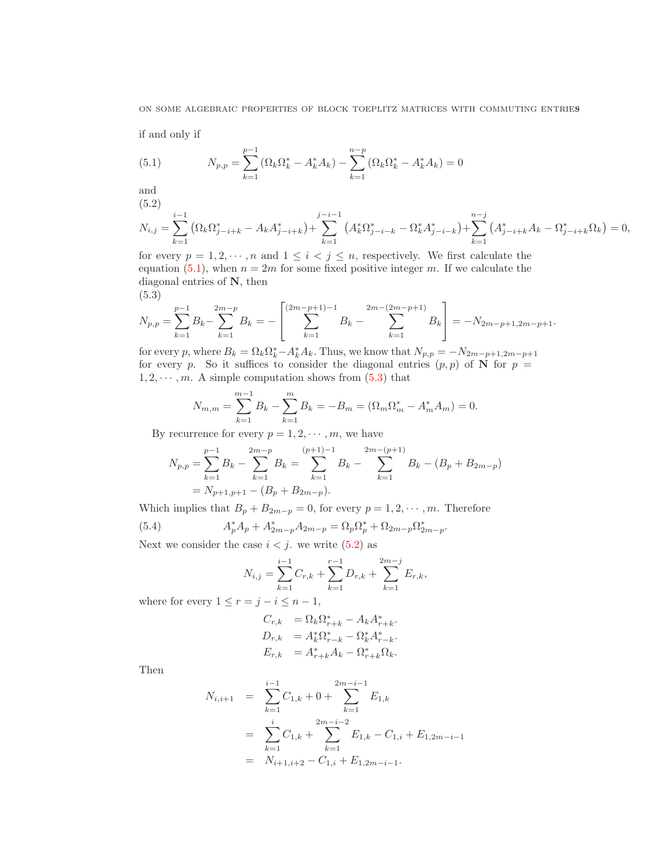if and only if

<span id="page-8-0"></span>(5.1) 
$$
N_{p,p} = \sum_{k=1}^{p-1} (\Omega_k \Omega_k^* - A_k^* A_k) - \sum_{k=1}^{n-p} (\Omega_k \Omega_k^* - A_k^* A_k) = 0
$$

and

(5.2)

<span id="page-8-2"></span>
$$
N_{i,j} = \sum_{k=1}^{i-1} \left( \Omega_k \Omega_{j-i+k}^* - A_k A_{j-i+k}^* \right) + \sum_{k=1}^{j-i-1} \left( A_k^* \Omega_{j-i-k}^* - \Omega_k^* A_{j-i-k}^* \right) + \sum_{k=1}^{n-j} \left( A_{j-i+k}^* A_k - \Omega_{j-i+k}^* \Omega_k \right) = 0,
$$

for every  $p = 1, 2, \dots, n$  and  $1 \leq i < j \leq n$ , respectively. We first calculate the equation [\(5.1\)](#page-8-0), when  $n = 2m$  for some fixed positive integer m. If we calculate the diagonal entries of N, then (5.3)

<span id="page-8-1"></span>
$$
N_{p,p} = \sum_{k=1}^{p-1} B_k - \sum_{k=1}^{2m-p} B_k = -\left[ \sum_{k=1}^{(2m-p+1)-1} B_k - \sum_{k=1}^{2m-(2m-p+1)} B_k \right] = -N_{2m-p+1,2m-p+1}.
$$

for every p, where  $B_k = \Omega_k \Omega_k^* - A_k^* A_k$ . Thus, we know that  $N_{p,p} = -N_{2m-p+1,2m-p+1}$ for every p. So it suffices to consider the diagonal entries  $(p, p)$  of N for  $p =$  $1, 2, \dots, m$ . A simple computation shows from  $(5.3)$  that

$$
N_{m,m} = \sum_{k=1}^{m-1} B_k - \sum_{k=1}^{m} B_k = -B_m = (\Omega_m \Omega_m^* - A_m^* A_m) = 0.
$$

By recurrence for every  $p = 1, 2, \dots, m$ , we have

$$
N_{p,p} = \sum_{k=1}^{p-1} B_k - \sum_{k=1}^{2m-p} B_k = \sum_{k=1}^{(p+1)-1} B_k - \sum_{k=1}^{2m-(p+1)} B_k - (B_p + B_{2m-p})
$$
  
= N\_{p+1,p+1} - (B\_p + B\_{2m-p}).

Which implies that  $B_p + B_{2m-p} = 0$ , for every  $p = 1, 2, \dots, m$ . Therefore

(5.4) 
$$
A_p^* A_p + A_{2m-p}^* A_{2m-p} = \Omega_p \Omega_p^* + \Omega_{2m-p} \Omega_{2m-p}^*.
$$

Next we consider the case  $i < j$ . we write  $(5.2)$  as

$$
N_{i,j} = \sum_{k=1}^{i-1} C_{r,k} + \sum_{k=1}^{r-1} D_{r,k} + \sum_{k=1}^{2m-j} E_{r,k},
$$

where for every  $1 \le r = j - i \le n - 1$ ,

$$
C_{r,k} = \Omega_k \Omega_{r+k}^* - A_k A_{r+k}^*.
$$
  
\n
$$
D_{r,k} = A_k^* \Omega_{r-k}^* - \Omega_k^* A_{r-k}^*.
$$
  
\n
$$
E_{r,k} = A_{r+k}^* A_k - \Omega_{r+k}^* \Omega_k.
$$

Then

$$
N_{i,i+1} = \sum_{k=1}^{i-1} C_{1,k} + 0 + \sum_{k=1}^{2m-i-1} E_{1,k}
$$
  
= 
$$
\sum_{k=1}^{i} C_{1,k} + \sum_{k=1}^{2m-i-2} E_{1,k} - C_{1,i} + E_{1,2m-i-1}
$$
  
= 
$$
N_{i+1,i+2} - C_{1,i} + E_{1,2m-i-1}.
$$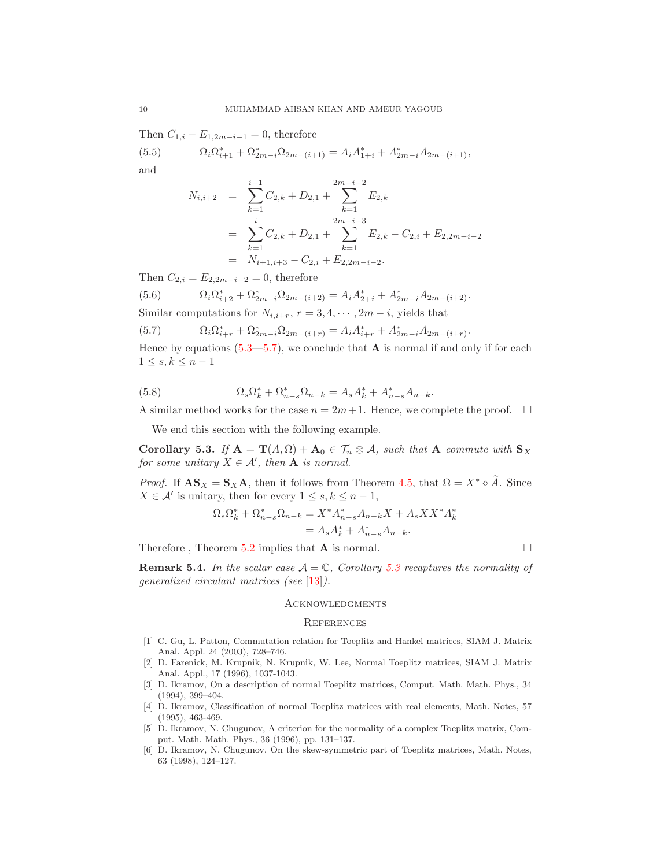Then  $C_{1,i} - E_{1,2m-i-1} = 0$ , therefore

(5.5)  $\Omega_i \Omega_{i+1}^* + \Omega_{2m-i}^* \Omega_{2m-(i+1)} = A_i A_{1+i}^* + A_{2m-i}^* A_{2m-(i+1)},$ and

$$
N_{i,i+2} = \sum_{k=1}^{i-1} C_{2,k} + D_{2,1} + \sum_{k=1}^{2m-i-2} E_{2,k}
$$
  
= 
$$
\sum_{k=1}^{i} C_{2,k} + D_{2,1} + \sum_{k=1}^{2m-i-3} E_{2,k} - C_{2,i} + E_{2,2m-i-2}
$$
  
= 
$$
N_{i+1,i+3} - C_{2,i} + E_{2,2m-i-2}.
$$

Then  $C_{2,i} = E_{2,2m-i-2} = 0$ , therefore

(5.6) 
$$
\Omega_i \Omega_{i+2}^* + \Omega_{2m-i}^* \Omega_{2m-(i+2)} = A_i A_{2+i}^* + A_{2m-i}^* A_{2m-(i+2)}.
$$

Similar computations for  $N_{i,i+r}$ ,  $r = 3, 4, \cdots, 2m - i$ , yields that

<span id="page-9-6"></span>(5.7) 
$$
\Omega_i \Omega_{i+r}^* + \Omega_{2m-i}^* \Omega_{2m-(i+r)} = A_i A_{i+r}^* + A_{2m-i}^* A_{2m-(i+r)}.
$$

Hence by equations  $(5.3-5.7)$ , we conclude that **A** is normal if and only if for each  $1 \leq s, k \leq n-1$ 

(5.8) 
$$
\Omega_s \Omega_k^* + \Omega_{n-s}^* \Omega_{n-k} = A_s A_k^* + A_{n-s}^* A_{n-k}.
$$

A similar method works for the case  $n = 2m + 1$ . Hence, we complete the proof.  $\Box$ 

We end this section with the following example.

<span id="page-9-7"></span>Corollary 5.3. *If*  $A = T(A, \Omega) + A_0 \in \mathcal{T}_n \otimes A$ *, such that* A *commute with*  $S_X$ *for some unitary*  $X \in \mathcal{A}'$ *, then* **A** *is normal.* 

*Proof.* If  $\mathbf{AS}_X = \mathbf{S}_X \mathbf{A}$ , then it follows from Theorem [4.5,](#page-6-0) that  $\Omega = X^* \circ \tilde{A}$ . Since  $X \in \mathcal{A}'$  is unitary, then for every  $1 \leq s, k \leq n-1$ ,

$$
\Omega_s \Omega_k^* + \Omega_{n-s}^* \Omega_{n-k} = X^* A_{n-s}^* A_{n-k} X + A_s X X^* A_k^*
$$
  
=  $A_s A_k^* + A_{n-s}^* A_{n-k}.$ 

Therefore , Theorem [5.2](#page-7-1) implies that A is normal.

**Remark 5.4.** In the scalar case  $A = \mathbb{C}$ , Corollary [5.3](#page-9-7) recaptures the normality of *generalized circulant matrices (see* [\[13\]](#page-10-5)*).*

### **ACKNOWLEDGMENTS**

#### **REFERENCES**

- <span id="page-9-0"></span>[1] C. Gu, L. Patton, Commutation relation for Toeplitz and Hankel matrices, SIAM J. Matrix Anal. Appl. 24 (2003), 728–746.
- <span id="page-9-2"></span>[2] D. Farenick, M. Krupnik, N. Krupnik, W. Lee, Normal Toeplitz matrices, SIAM J. Matrix Anal. Appl., 17 (1996), 1037-1043.
- <span id="page-9-1"></span>[3] D. Ikramov, On a description of normal Toeplitz matrices, Comput. Math. Math. Phys., 34 (1994), 399–404.
- <span id="page-9-3"></span>[4] D. Ikramov, Classification of normal Toeplitz matrices with real elements, Math. Notes, 57 (1995), 463-469.
- <span id="page-9-4"></span>[5] D. Ikramov, N. Chugunov, A criterion for the normality of a complex Toeplitz matrix, Comput. Math. Math. Phys., 36 (1996), pp. 131–137.
- <span id="page-9-5"></span>[6] D. Ikramov, N. Chugunov, On the skew-symmetric part of Toeplitz matrices, Math. Notes, 63 (1998), 124–127.

$$
\sqcup\!\sqcup
$$